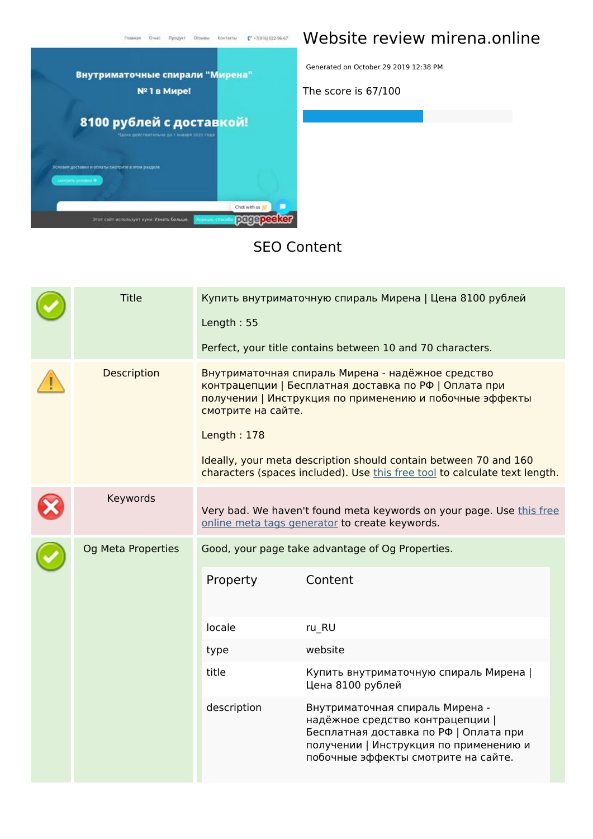

## **Website review mirena.online**

Generated on October 29 2019 12:38 PM

**The score is 67/100**

#### **SEO Content**

|  | <b>Title</b>       | Купить внутриматочную спираль Мирена   Цена 8100 рублей<br>Length: 55<br>Perfect, your title contains between 10 and 70 characters.                                                                                                                                                                                                                          |                                                                                                                                                                                                |  |  |  |
|--|--------------------|--------------------------------------------------------------------------------------------------------------------------------------------------------------------------------------------------------------------------------------------------------------------------------------------------------------------------------------------------------------|------------------------------------------------------------------------------------------------------------------------------------------------------------------------------------------------|--|--|--|
|  | Description        | Внутриматочная спираль Мирена - надёжное средство<br>контрацепции   Бесплатная доставка по РФ   Оплата при<br>получении   Инструкция по применению и побочные эффекты<br>смотрите на сайте.<br>Length: 178<br>Ideally, your meta description should contain between 70 and 160<br>characters (spaces included). Use this free tool to calculate text length. |                                                                                                                                                                                                |  |  |  |
|  | Keywords           |                                                                                                                                                                                                                                                                                                                                                              | Very bad. We haven't found meta keywords on your page. Use this free<br>online meta tags generator to create keywords.                                                                         |  |  |  |
|  | Og Meta Properties | Good, your page take advantage of Og Properties.                                                                                                                                                                                                                                                                                                             |                                                                                                                                                                                                |  |  |  |
|  |                    | Property                                                                                                                                                                                                                                                                                                                                                     | Content                                                                                                                                                                                        |  |  |  |
|  |                    | locale                                                                                                                                                                                                                                                                                                                                                       | ru_RU                                                                                                                                                                                          |  |  |  |
|  |                    | type                                                                                                                                                                                                                                                                                                                                                         | website                                                                                                                                                                                        |  |  |  |
|  |                    | title                                                                                                                                                                                                                                                                                                                                                        | Купить внутриматочную спираль Мирена  <br>Цена 8100 рублей                                                                                                                                     |  |  |  |
|  |                    | description                                                                                                                                                                                                                                                                                                                                                  | Внутриматочная спираль Мирена -<br>надёжное средство контрацепции  <br>Бесплатная доставка по РФ   Оплата при<br>получении   Инструкция по применению и<br>побочные эффекты смотрите на сайте. |  |  |  |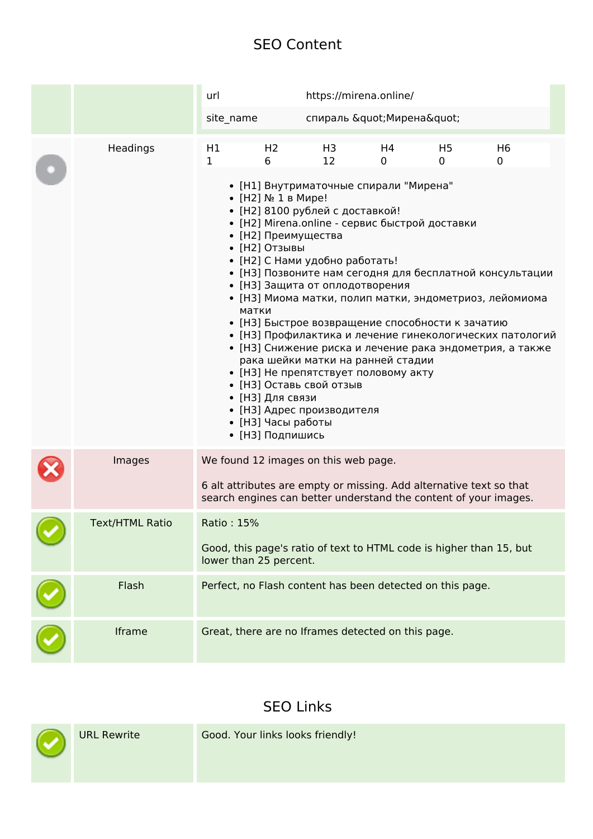#### **SEO Content**

|                        | url                                                                                                                                                                                                                                                                                                                                                                                                                                                                                                                                                                                                                                                                                                                                                                             |                     | https://mirena.online/                                                                                      |         |                     |                                                                     |  |
|------------------------|---------------------------------------------------------------------------------------------------------------------------------------------------------------------------------------------------------------------------------------------------------------------------------------------------------------------------------------------------------------------------------------------------------------------------------------------------------------------------------------------------------------------------------------------------------------------------------------------------------------------------------------------------------------------------------------------------------------------------------------------------------------------------------|---------------------|-------------------------------------------------------------------------------------------------------------|---------|---------------------|---------------------------------------------------------------------|--|
|                        | site name                                                                                                                                                                                                                                                                                                                                                                                                                                                                                                                                                                                                                                                                                                                                                                       |                     | спираль " Мирена"                                                                                           |         |                     |                                                                     |  |
| Headings               | H1<br>1                                                                                                                                                                                                                                                                                                                                                                                                                                                                                                                                                                                                                                                                                                                                                                         | H <sub>2</sub><br>6 | H3<br>12                                                                                                    | H4<br>0 | H <sub>5</sub><br>0 | H <sub>6</sub><br>0                                                 |  |
|                        | • [Н1] Внутриматочные спирали "Мирена"<br>• [H2] № 1 в Мире!<br>• [Н2] 8100 рублей с доставкой!<br>• [H2] Mirena.online - сервис быстрой доставки<br>• [Н2] Преимущества<br>• [Н2] Отзывы<br>• [Н2] С Нами удобно работать!<br>• [НЗ] Позвоните нам сегодня для бесплатной консультации<br>• [НЗ] Защита от оплодотворения<br>• [НЗ] Миома матки, полип матки, эндометриоз, лейомиома<br>матки<br>• [НЗ] Быстрое возвращение способности к зачатию<br>• [НЗ] Профилактика и лечение гинекологических патологий<br>• [НЗ] Снижение риска и лечение рака эндометрия, а также<br>рака шейки матки на ранней стадии<br>• [НЗ] Не препятствует половому акту<br>• [НЗ] Оставь свой отзыв<br>• [НЗ] Для связи<br>• [НЗ] Адрес производителя<br>• [НЗ] Часы работы<br>• [НЗ] Подпишись |                     |                                                                                                             |         |                     |                                                                     |  |
| Images                 |                                                                                                                                                                                                                                                                                                                                                                                                                                                                                                                                                                                                                                                                                                                                                                                 |                     | We found 12 images on this web page.<br>6 alt attributes are empty or missing. Add alternative text so that |         |                     | search engines can better understand the content of your images.    |  |
| <b>Text/HTML Ratio</b> | Ratio: 15%                                                                                                                                                                                                                                                                                                                                                                                                                                                                                                                                                                                                                                                                                                                                                                      |                     |                                                                                                             |         |                     |                                                                     |  |
|                        | lower than 25 percent.                                                                                                                                                                                                                                                                                                                                                                                                                                                                                                                                                                                                                                                                                                                                                          |                     |                                                                                                             |         |                     | Good, this page's ratio of text to HTML code is higher than 15, but |  |
| Flash                  |                                                                                                                                                                                                                                                                                                                                                                                                                                                                                                                                                                                                                                                                                                                                                                                 |                     | Perfect, no Flash content has been detected on this page.                                                   |         |                     |                                                                     |  |
| Iframe                 |                                                                                                                                                                                                                                                                                                                                                                                                                                                                                                                                                                                                                                                                                                                                                                                 |                     | Great, there are no Iframes detected on this page.                                                          |         |                     |                                                                     |  |

## **SEO Links**

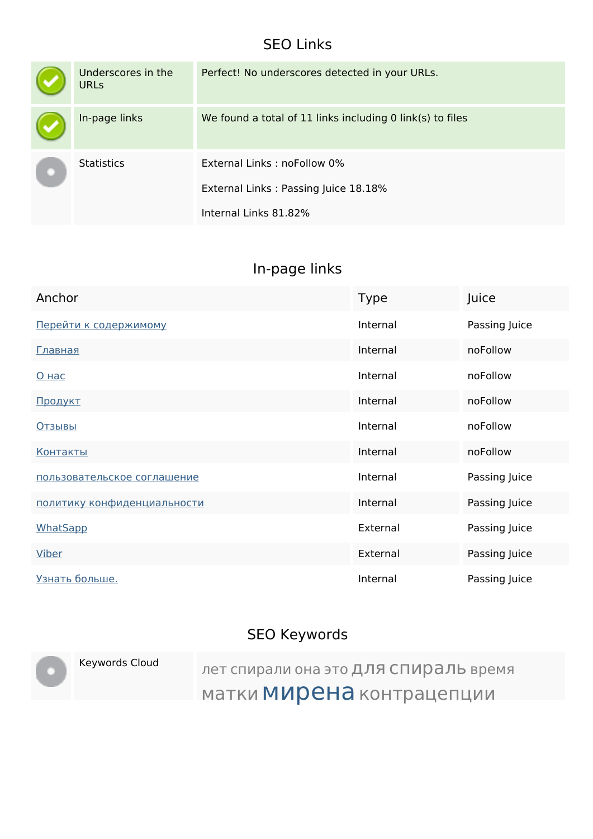### **SEO Links**

| Underscores in the<br><b>URLS</b> | Perfect! No underscores detected in your URLs.                                               |
|-----------------------------------|----------------------------------------------------------------------------------------------|
| In-page links                     | We found a total of 11 links including 0 link(s) to files                                    |
| <b>Statistics</b>                 | External Links: noFollow 0%<br>External Links: Passing Juice 18.18%<br>Internal Links 81.82% |

# **In-page links**

| Anchor                      | <b>Type</b> | Juice         |
|-----------------------------|-------------|---------------|
| Перейти к содержимому       | Internal    | Passing Juice |
| <u>Главная</u>              | Internal    | noFollow      |
| <u>О нас</u>                | Internal    | noFollow      |
| Продукт                     | Internal    | noFollow      |
| <b>Отзывы</b>               | Internal    | noFollow      |
| <u>Контакты</u>             | Internal    | noFollow      |
| пользовательское соглашение | Internal    | Passing Juice |
| политику конфиденциальности | Internal    | Passing Juice |
| WhatSapp                    | External    | Passing Juice |
| <b>Viber</b>                | External    | Passing Juice |
| Узнать больше.              | Internal    | Passing Juice |

# **SEO Keywords**

|  | Keywords Cloud | лет спирали она это ДЛЯ СПИРАЛЬ время |
|--|----------------|---------------------------------------|
|  |                | матки МИРЕНА контрацепции             |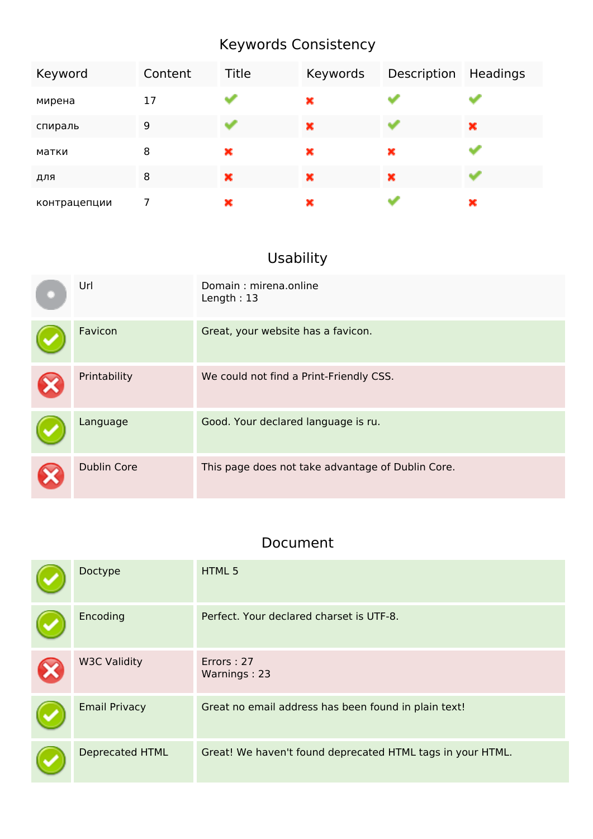# **Keywords Consistency**

| Keyword      | Content | Title | Keywords | Description | Headings |
|--------------|---------|-------|----------|-------------|----------|
| мирена       | 17      |       | ×        |             |          |
| спираль      | 9       |       | ×        |             | ×        |
| матки        | 8       | ×     | ×        | ×           |          |
| для          | 8       | ×     | ×        | ×           |          |
| контрацепции |         | ×     | ×        |             | ×        |

### **Usability**

| Url                | Domain: mirena.online<br>Length: $13$             |
|--------------------|---------------------------------------------------|
| Favicon            | Great, your website has a favicon.                |
| Printability       | We could not find a Print-Friendly CSS.           |
| Language           | Good. Your declared language is ru.               |
| <b>Dublin Core</b> | This page does not take advantage of Dublin Core. |

#### **Document**

| Doctype                | HTML 5                                                     |
|------------------------|------------------------------------------------------------|
| Encoding               | Perfect. Your declared charset is UTF-8.                   |
| <b>W3C Validity</b>    | Errors: 27<br>Warnings: 23                                 |
| <b>Email Privacy</b>   | Great no email address has been found in plain text!       |
| <b>Deprecated HTML</b> | Great! We haven't found deprecated HTML tags in your HTML. |